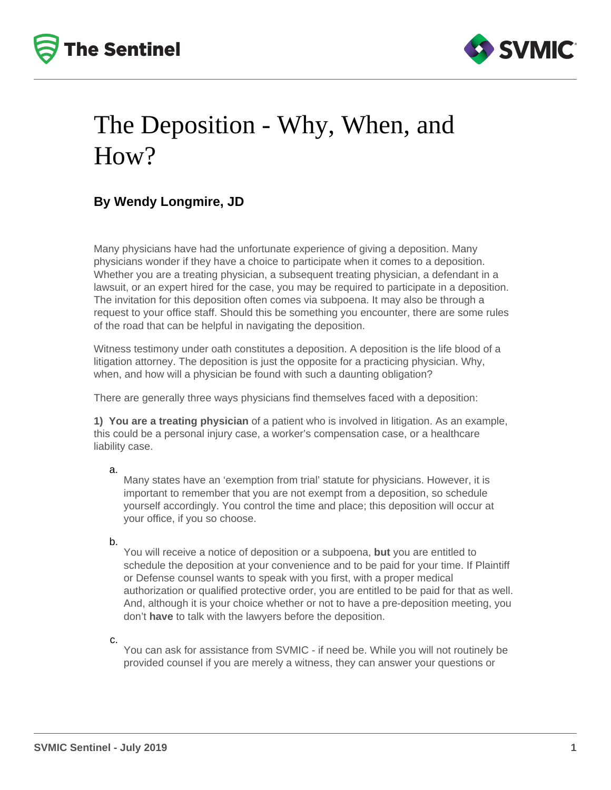



## The Deposition - Why, When, and How?

## **By Wendy Longmire, JD**

Many physicians have had the unfortunate experience of giving a deposition. Many physicians wonder if they have a choice to participate when it comes to a deposition. Whether you are a treating physician, a subsequent treating physician, a defendant in a lawsuit, or an expert hired for the case, you may be required to participate in a deposition. The invitation for this deposition often comes via subpoena. It may also be through a request to your office staff. Should this be something you encounter, there are some rules of the road that can be helpful in navigating the deposition.

Witness testimony under oath constitutes a deposition. A deposition is the life blood of a litigation attorney. The deposition is just the opposite for a practicing physician. Why, when, and how will a physician be found with such a daunting obligation?

There are generally three ways physicians find themselves faced with a deposition:

**1) You are a treating physician** of a patient who is involved in litigation. As an example, this could be a personal injury case, a worker's compensation case, or a healthcare liability case.

a.

Many states have an 'exemption from trial' statute for physicians. However, it is important to remember that you are not exempt from a deposition, so schedule yourself accordingly. You control the time and place; this deposition will occur at your office, if you so choose.

b.

You will receive a notice of deposition or a subpoena, **but** you are entitled to schedule the deposition at your convenience and to be paid for your time. If Plaintiff or Defense counsel wants to speak with you first, with a proper medical authorization or qualified protective order, you are entitled to be paid for that as well. And, although it is your choice whether or not to have a pre-deposition meeting, you don't **have** to talk with the lawyers before the deposition.

c.

You can ask for assistance from SVMIC - if need be. While you will not routinely be provided counsel if you are merely a witness, they can answer your questions or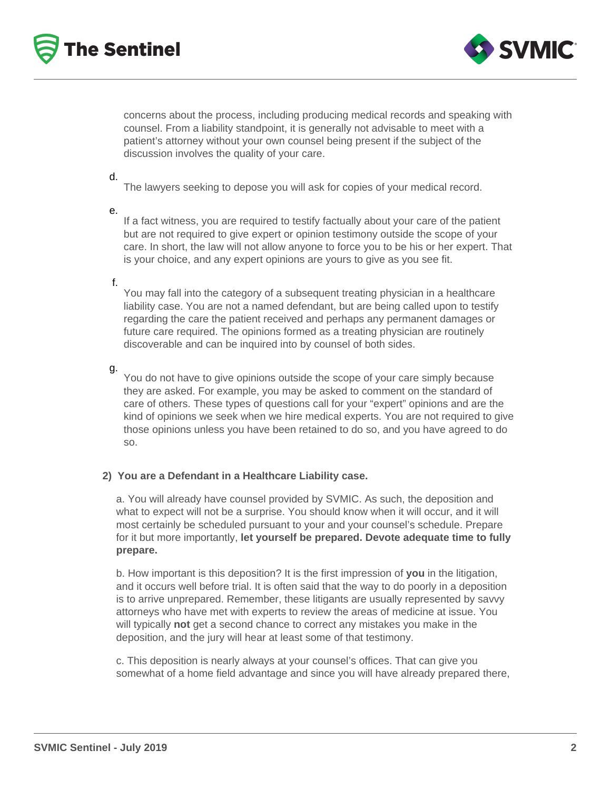



concerns about the process, including producing medical records and speaking with counsel. From a liability standpoint, it is generally not advisable to meet with a patient's attorney without your own counsel being present if the subject of the discussion involves the quality of your care.

#### d.

The lawyers seeking to depose you will ask for copies of your medical record.

e.

If a fact witness, you are required to testify factually about your care of the patient but are not required to give expert or opinion testimony outside the scope of your care. In short, the law will not allow anyone to force you to be his or her expert. That is your choice, and any expert opinions are yours to give as you see fit.

#### f.

You may fall into the category of a subsequent treating physician in a healthcare liability case. You are not a named defendant, but are being called upon to testify regarding the care the patient received and perhaps any permanent damages or future care required. The opinions formed as a treating physician are routinely discoverable and can be inquired into by counsel of both sides.

### g.

You do not have to give opinions outside the scope of your care simply because they are asked. For example, you may be asked to comment on the standard of care of others. These types of questions call for your "expert" opinions and are the kind of opinions we seek when we hire medical experts. You are not required to give those opinions unless you have been retained to do so, and you have agreed to do so.

### **2) You are a Defendant in a Healthcare Liability case.**

a. You will already have counsel provided by SVMIC. As such, the deposition and what to expect will not be a surprise. You should know when it will occur, and it will most certainly be scheduled pursuant to your and your counsel's schedule. Prepare for it but more importantly, **let yourself be prepared. Devote adequate time to fully prepare.**

b. How important is this deposition? It is the first impression of **you** in the litigation, and it occurs well before trial. It is often said that the way to do poorly in a deposition is to arrive unprepared. Remember, these litigants are usually represented by savvy attorneys who have met with experts to review the areas of medicine at issue. You will typically **not** get a second chance to correct any mistakes you make in the deposition, and the jury will hear at least some of that testimony.

c. This deposition is nearly always at your counsel's offices. That can give you somewhat of a home field advantage and since you will have already prepared there,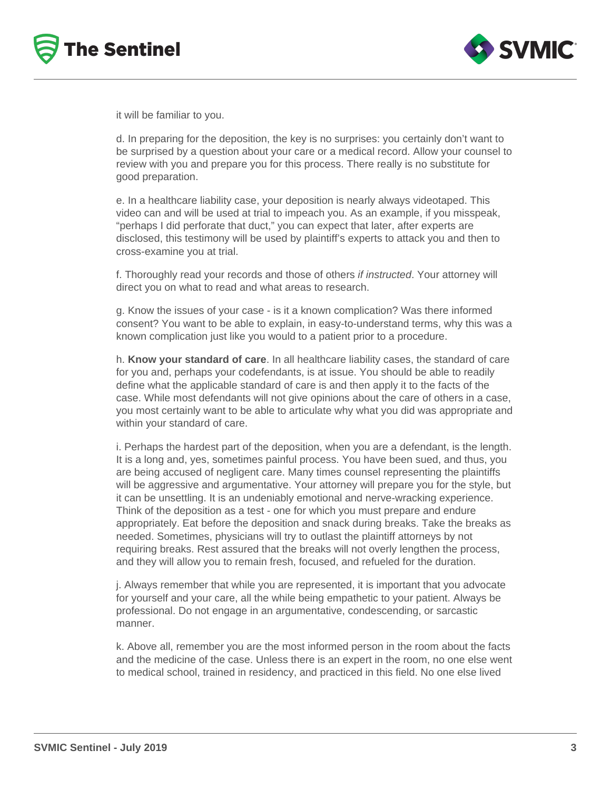



it will be familiar to you.

d. In preparing for the deposition, the key is no surprises: you certainly don't want to be surprised by a question about your care or a medical record. Allow your counsel to review with you and prepare you for this process. There really is no substitute for good preparation.

e. In a healthcare liability case, your deposition is nearly always videotaped. This video can and will be used at trial to impeach you. As an example, if you misspeak, "perhaps I did perforate that duct," you can expect that later, after experts are disclosed, this testimony will be used by plaintiff's experts to attack you and then to cross-examine you at trial.

f. Thoroughly read your records and those of others if instructed. Your attorney will direct you on what to read and what areas to research.

g. Know the issues of your case - is it a known complication? Was there informed consent? You want to be able to explain, in easy-to-understand terms, why this was a known complication just like you would to a patient prior to a procedure.

h. **Know your standard of care**. In all healthcare liability cases, the standard of care for you and, perhaps your codefendants, is at issue. You should be able to readily define what the applicable standard of care is and then apply it to the facts of the case. While most defendants will not give opinions about the care of others in a case, you most certainly want to be able to articulate why what you did was appropriate and within your standard of care.

i. Perhaps the hardest part of the deposition, when you are a defendant, is the length. It is a long and, yes, sometimes painful process. You have been sued, and thus, you are being accused of negligent care. Many times counsel representing the plaintiffs will be aggressive and argumentative. Your attorney will prepare you for the style, but it can be unsettling. It is an undeniably emotional and nerve-wracking experience. Think of the deposition as a test - one for which you must prepare and endure appropriately. Eat before the deposition and snack during breaks. Take the breaks as needed. Sometimes, physicians will try to outlast the plaintiff attorneys by not requiring breaks. Rest assured that the breaks will not overly lengthen the process, and they will allow you to remain fresh, focused, and refueled for the duration.

j. Always remember that while you are represented, it is important that you advocate for yourself and your care, all the while being empathetic to your patient. Always be professional. Do not engage in an argumentative, condescending, or sarcastic manner.

k. Above all, remember you are the most informed person in the room about the facts and the medicine of the case. Unless there is an expert in the room, no one else went to medical school, trained in residency, and practiced in this field. No one else lived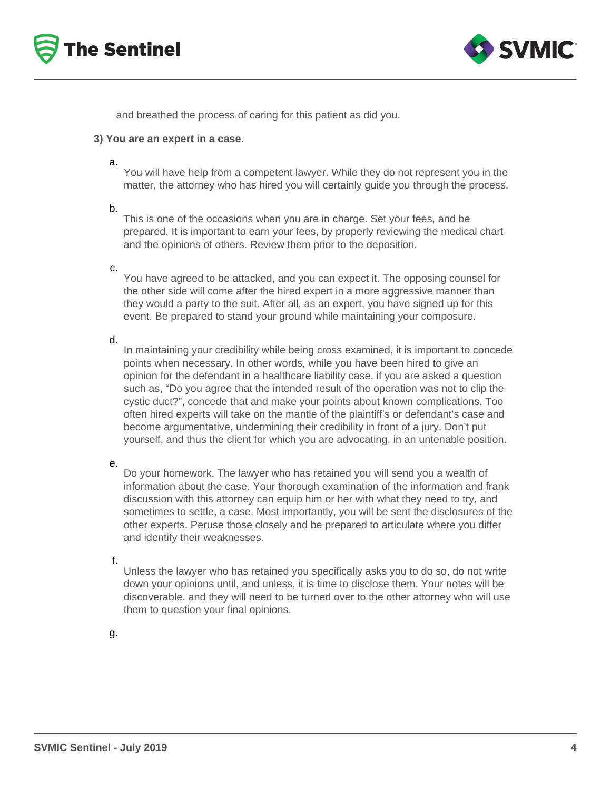



and breathed the process of caring for this patient as did you.

#### **3) You are an expert in a case.**

a.

You will have help from a competent lawyer. While they do not represent you in the matter, the attorney who has hired you will certainly guide you through the process.

#### b.

This is one of the occasions when you are in charge. Set your fees, and be prepared. It is important to earn your fees, by properly reviewing the medical chart and the opinions of others. Review them prior to the deposition.

#### c.

You have agreed to be attacked, and you can expect it. The opposing counsel for the other side will come after the hired expert in a more aggressive manner than they would a party to the suit. After all, as an expert, you have signed up for this event. Be prepared to stand your ground while maintaining your composure.

d.

In maintaining your credibility while being cross examined, it is important to concede points when necessary. In other words, while you have been hired to give an opinion for the defendant in a healthcare liability case, if you are asked a question such as, "Do you agree that the intended result of the operation was not to clip the cystic duct?", concede that and make your points about known complications. Too often hired experts will take on the mantle of the plaintiff's or defendant's case and become argumentative, undermining their credibility in front of a jury. Don't put yourself, and thus the client for which you are advocating, in an untenable position.

e.

Do your homework. The lawyer who has retained you will send you a wealth of information about the case. Your thorough examination of the information and frank discussion with this attorney can equip him or her with what they need to try, and sometimes to settle, a case. Most importantly, you will be sent the disclosures of the other experts. Peruse those closely and be prepared to articulate where you differ and identify their weaknesses.

f.

Unless the lawyer who has retained you specifically asks you to do so, do not write down your opinions until, and unless, it is time to disclose them. Your notes will be discoverable, and they will need to be turned over to the other attorney who will use them to question your final opinions.

g.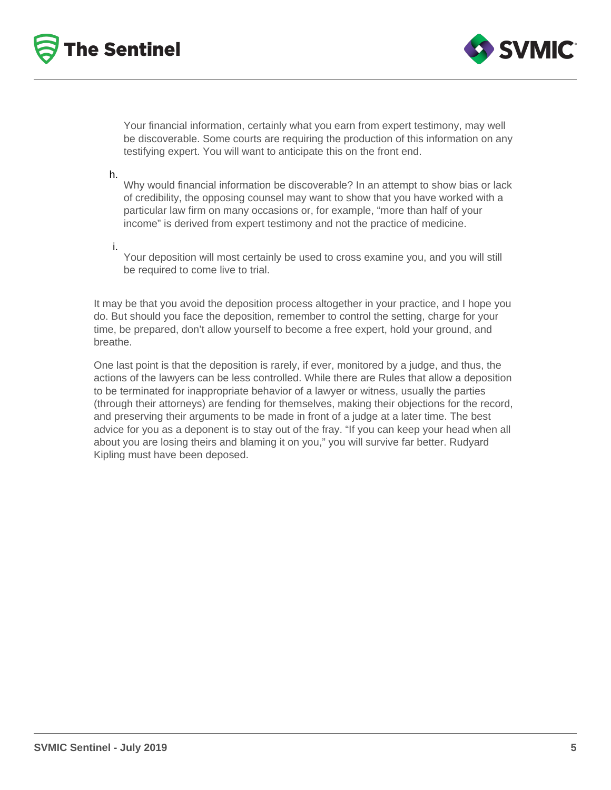



Your financial information, certainly what you earn from expert testimony, may well be discoverable. Some courts are requiring the production of this information on any testifying expert. You will want to anticipate this on the front end.

h.

i.

Why would financial information be discoverable? In an attempt to show bias or lack of credibility, the opposing counsel may want to show that you have worked with a particular law firm on many occasions or, for example, "more than half of your income" is derived from expert testimony and not the practice of medicine.

Your deposition will most certainly be used to cross examine you, and you will still be required to come live to trial.

It may be that you avoid the deposition process altogether in your practice, and I hope you do. But should you face the deposition, remember to control the setting, charge for your time, be prepared, don't allow yourself to become a free expert, hold your ground, and breathe.

One last point is that the deposition is rarely, if ever, monitored by a judge, and thus, the actions of the lawyers can be less controlled. While there are Rules that allow a deposition to be terminated for inappropriate behavior of a lawyer or witness, usually the parties (through their attorneys) are fending for themselves, making their objections for the record, and preserving their arguments to be made in front of a judge at a later time. The best advice for you as a deponent is to stay out of the fray. "If you can keep your head when all about you are losing theirs and blaming it on you," you will survive far better. Rudyard Kipling must have been deposed.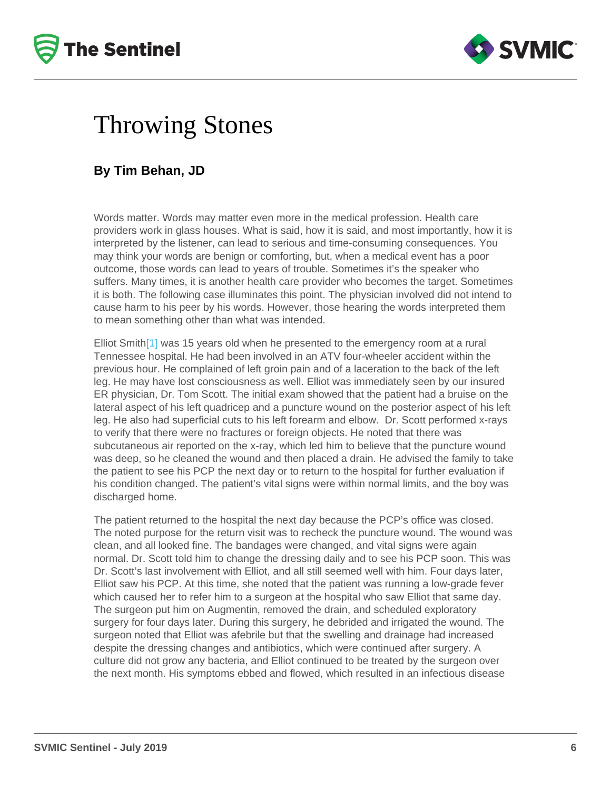## <span id="page-5-0"></span>Throwing Stones

### By Tim Behan, JD

Words matter. Words may matter even more in the medical profession. Health care providers work in glass houses. What is said, how it is said, and most importantly, how it is interpreted by the listener, can lead to serious and time-consuming consequences. You may think your words are benign or comforting, but, when a medical event has a poor outcome, those words can lead to years of trouble. Sometimes it's the speaker who suffers. Many times, it is another health care provider who becomes the target. Sometimes it is both. The following case illuminates this point. The physician involved did not intend to cause harm to his peer by his words. However, those hearing the words interpreted them to mean something other than what was intended.

Elliot Smith $[1]$  was 15 years old when he presented to the emergency room at a rural Tennessee hospital. He had been involved in an ATV four-wheeler accident within the previous hour. He complained of left groin pain and of a laceration to the back of the left leg. He may have lost consciousness as well. Elliot was immediately seen by our insured ER physician, Dr. Tom Scott. The initial exam showed that the patient had a bruise on the lateral aspect of his left quadricep and a puncture wound on the posterior aspect of his left leg. He also had superficial cuts to his left forearm and elbow. Dr. Scott performed x-rays to verify that there were no fractures or foreign objects. He noted that there was subcutaneous air reported on the x-ray, which led him to believe that the puncture wound was deep, so he cleaned the wound and then placed a drain. He advised the family to take the patient to see his PCP the next day or to return to the hospital for further evaluation if his condition changed. The patient's vital signs were within normal limits, and the boy was discharged home.

The patient returned to the hospital the next day because the PCP's office was closed. The noted purpose for the return visit was to recheck the puncture wound. The wound was clean, and all looked fine. The bandages were changed, and vital signs were again normal. Dr. Scott told him to change the dressing daily and to see his PCP soon. This was Dr. Scott's last involvement with Elliot, and all still seemed well with him. Four days later, Elliot saw his PCP. At this time, she noted that the patient was running a low-grade fever which caused her to refer him to a surgeon at the hospital who saw Elliot that same day. The surgeon put him on Augmentin, removed the drain, and scheduled exploratory surgery for four days later. During this surgery, he debrided and irrigated the wound. The surgeon noted that Elliot was afebrile but that the swelling and drainage had increased despite the dressing changes and antibiotics, which were continued after surgery. A culture did not grow any bacteria, and Elliot continued to be treated by the surgeon over the next month. His symptoms ebbed and flowed, which resulted in an infectious disease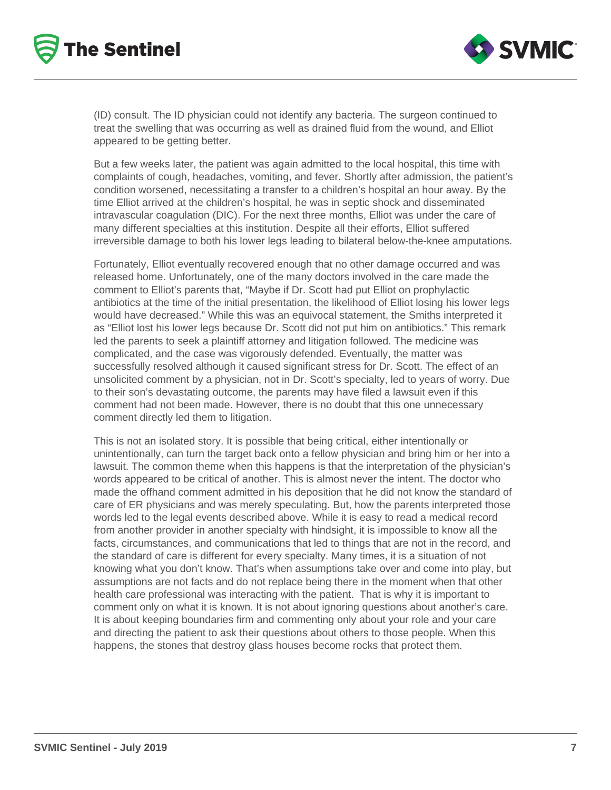



(ID) consult. The ID physician could not identify any bacteria. The surgeon continued to treat the swelling that was occurring as well as drained fluid from the wound, and Elliot appeared to be getting better.

But a few weeks later, the patient was again admitted to the local hospital, this time with complaints of cough, headaches, vomiting, and fever. Shortly after admission, the patient's condition worsened, necessitating a transfer to a children's hospital an hour away. By the time Elliot arrived at the children's hospital, he was in septic shock and disseminated intravascular coagulation (DIC). For the next three months, Elliot was under the care of many different specialties at this institution. Despite all their efforts, Elliot suffered irreversible damage to both his lower legs leading to bilateral below-the-knee amputations.

Fortunately, Elliot eventually recovered enough that no other damage occurred and was released home. Unfortunately, one of the many doctors involved in the care made the comment to Elliot's parents that, "Maybe if Dr. Scott had put Elliot on prophylactic antibiotics at the time of the initial presentation, the likelihood of Elliot losing his lower legs would have decreased." While this was an equivocal statement, the Smiths interpreted it as "Elliot lost his lower legs because Dr. Scott did not put him on antibiotics." This remark led the parents to seek a plaintiff attorney and litigation followed. The medicine was complicated, and the case was vigorously defended. Eventually, the matter was successfully resolved although it caused significant stress for Dr. Scott. The effect of an unsolicited comment by a physician, not in Dr. Scott's specialty, led to years of worry. Due to their son's devastating outcome, the parents may have filed a lawsuit even if this comment had not been made. However, there is no doubt that this one unnecessary comment directly led them to litigation.

This is not an isolated story. It is possible that being critical, either intentionally or unintentionally, can turn the target back onto a fellow physician and bring him or her into a lawsuit. The common theme when this happens is that the interpretation of the physician's words appeared to be critical of another. This is almost never the intent. The doctor who made the offhand comment admitted in his deposition that he did not know the standard of care of ER physicians and was merely speculating. But, how the parents interpreted those words led to the legal events described above. While it is easy to read a medical record from another provider in another specialty with hindsight, it is impossible to know all the facts, circumstances, and communications that led to things that are not in the record, and the standard of care is different for every specialty. Many times, it is a situation of not knowing what you don't know. That's when assumptions take over and come into play, but assumptions are not facts and do not replace being there in the moment when that other health care professional was interacting with the patient. That is why it is important to comment only on what it is known. It is not about ignoring questions about another's care. It is about keeping boundaries firm and commenting only about your role and your care and directing the patient to ask their questions about others to those people. When this happens, the stones that destroy glass houses become rocks that protect them.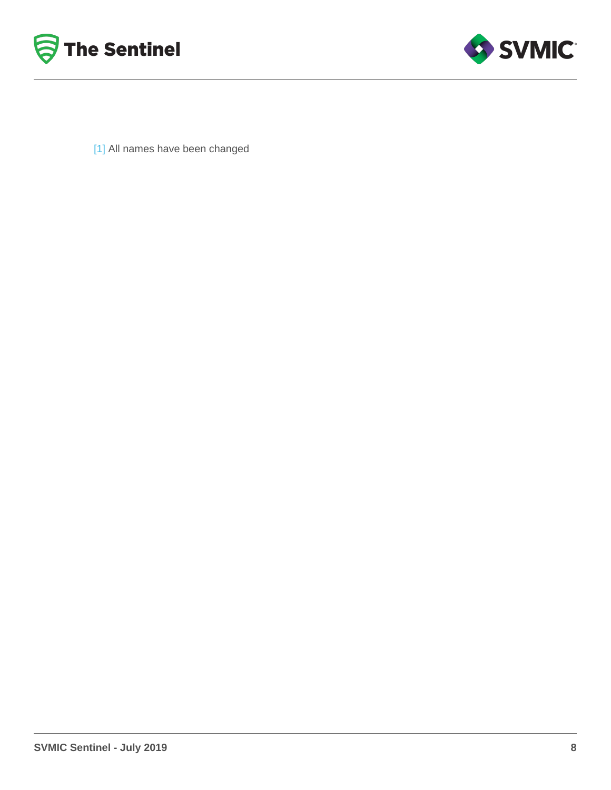<span id="page-7-0"></span>[\[1\]](#page-5-0) All names have been changed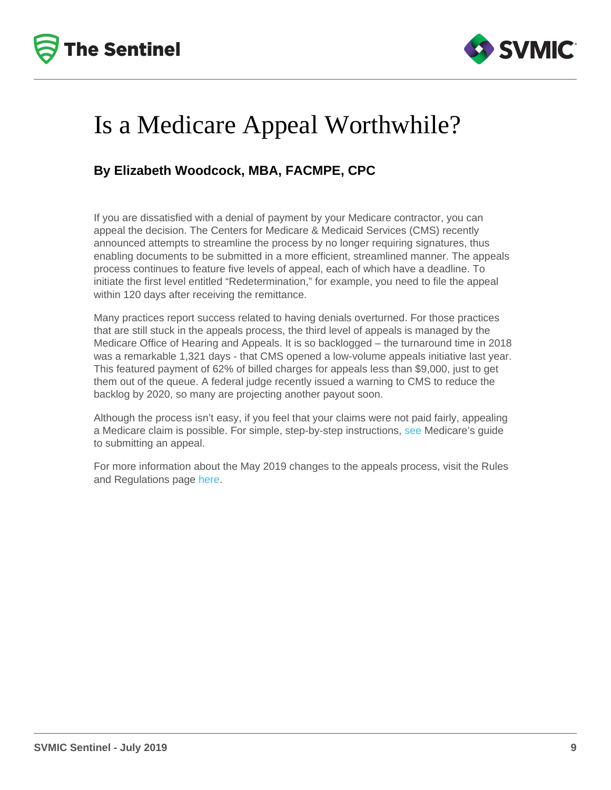## Is a Medicare Appeal Worthwhile?

### By Elizabeth Woodcock, MBA, FACMPE, CPC

If you are dissatisfied with a denial of payment by your Medicare contractor, you can appeal the decision. The Centers for Medicare & Medicaid Services (CMS) recently announced attempts to streamline the process by no longer requiring signatures, thus enabling documents to be submitted in a more efficient, streamlined manner. The appeals process continues to feature five levels of appeal, each of which have a deadline. To initiate the first level entitled "Redetermination," for example, you need to file the appeal within 120 days after receiving the remittance.

Many practices report success related to having denials overturned. For those practices that are still stuck in the appeals process, the third level of appeals is managed by the Medicare Office of Hearing and Appeals. It is so backlogged – the turnaround time in 2018 was a remarkable 1,321 days - that CMS opened a low-volume appeals initiative last year. This featured payment of 62% of billed charges for appeals less than \$9,000, just to get them out of the queue. A federal judge recently issued a warning to CMS to reduce the backlog by 2020, so many are projecting another payout soon.

Although the process isn't easy, if you feel that your claims were not paid fairly, appealing a Medicare claim is possible. For simple, step-by-step instructions, [see](https://www.cms.gov/Outreach-and-Education/Medicare-Learning-Network-MLN/MLNProducts/Downloads/MedicareAppealsProcess.pdf) Medicare's guide to submitting an appeal.

For more information about the May 2019 changes to the appeals process, visit the Rules and Regulations page [here](https://www.govinfo.gov/content/pkg/FR-2019-05-07/pdf/2019-09114.pdf).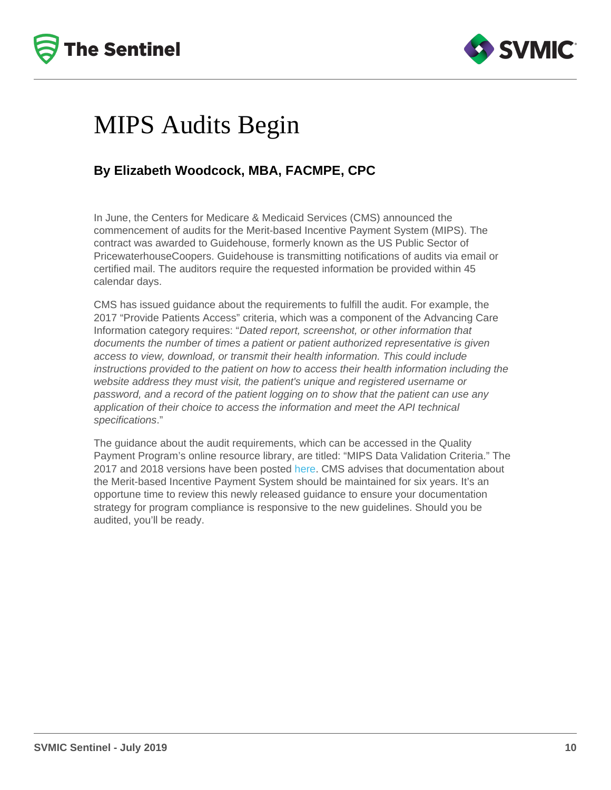# MIPS Audits Begin

## By Elizabeth Woodcock, MBA, FACMPE, CPC

In June, the Centers for Medicare & Medicaid Services (CMS) announced the commencement of audits for the Merit-based Incentive Payment System (MIPS). The contract was awarded to Guidehouse, formerly known as the US Public Sector of PricewaterhouseCoopers. Guidehouse is transmitting notifications of audits via email or certified mail. The auditors require the requested information be provided within 45 calendar days.

CMS has issued guidance about the requirements to fulfill the audit. For example, the 2017 "Provide Patients Access" criteria, which was a component of the Advancing Care Information category requires: "Dated report, screenshot, or other information that documents the number of times a patient or patient authorized representative is given access to view, download, or transmit their health information. This could include instructions provided to the patient on how to access their health information including the website address they must visit, the patient's unique and registered username or password, and a record of the patient logging on to show that the patient can use any application of their choice to access the information and meet the API technical specifications."

The guidance about the audit requirements, which can be accessed in the Quality Payment Program's online resource library, are titled: "MIPS Data Validation Criteria." The 2017 and 2018 versions have been posted [here](https://qpp.cms.gov/about/resource-library). CMS advises that documentation about the Merit-based Incentive Payment System should be maintained for six years. It's an opportune time to review this newly released guidance to ensure your documentation strategy for program compliance is responsive to the new guidelines. Should you be audited, you'll be ready.